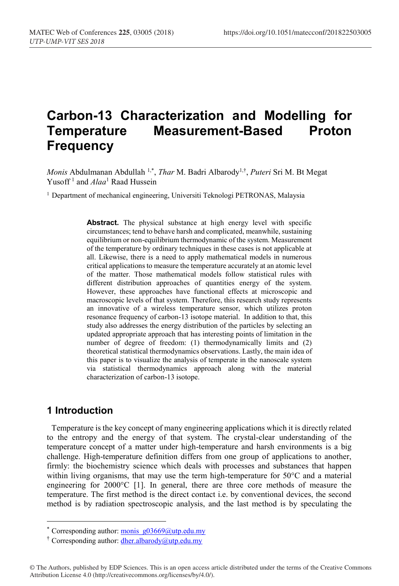# **Carbon-13 Characterization and Modelling for Measurement-Based Proton Frequency**

*Monis* Abdulmanan Abdullah <sup>1,\*</sup>, *Thar* M. Badri Albarody<sup>1,†</sup>, *Puteri* Sri M. Bt Megat Yusoff <sup>1</sup> and *Alaa*<sup>1</sup> Raad Hussein

<sup>1</sup> Department of mechanical engineering, Universiti Teknologi PETRONAS, Malaysia

Abstract. The physical substance at high energy level with specific circumstances; tend to behave harsh and complicated, meanwhile, sustaining equilibrium or non-equilibrium thermodynamic of the system. Measurement of the temperature by ordinary techniques in these cases is not applicable at all. Likewise, there is a need to apply mathematical models in numerous critical applications to measure the temperature accurately at an atomic level of the matter. Those mathematical models follow statistical rules with different distribution approaches of quantities energy of the system. However, these approaches have functional effects at microscopic and macroscopic levels of that system. Therefore, this research study represents an innovative of a wireless temperature sensor, which utilizes proton resonance frequency of carbon-13 isotope material. In addition to that, this study also addresses the energy distribution of the particles by selecting an updated appropriate approach that has interesting points of limitation in the number of degree of freedom: (1) thermodynamically limits and (2) theoretical statistical thermodynamics observations. Lastly, the main idea of this paper is to visualize the analysis of temperate in the nanoscale system via statistical thermodynamics approach along with the material characterization of carbon-13 isotope.

### **1 Introduction**

Temperature is the key concept of many engineering applications which it is directly related to the entropy and the energy of that system. The crystal-clear understanding of the temperature concept of a matter under high-temperature and harsh environments is a big challenge. High-temperature definition differs from one group of applications to another, firmly: the biochemistry science which deals with processes and substances that happen within living organisms, that may use the term high-temperature for 50°C and a material engineering for 2000°C [1]. In general, there are three core methods of measure the temperature. The first method is the direct contact i.e. by conventional devices, the second method is by radiation spectroscopic analysis, and the last method is by speculating the

<sup>\*</sup> Corresponding author: monis  $g03669$ @utp.edu.my

<sup>†</sup> Corresponding author: dher.albarody@utp.edu.my

<sup>©</sup> The Authors, published by EDP Sciences. This is an open access article distributed under the terms of the Creative Commons Attribution License 4.0 (http://creativecommons.org/licenses/by/4.0/).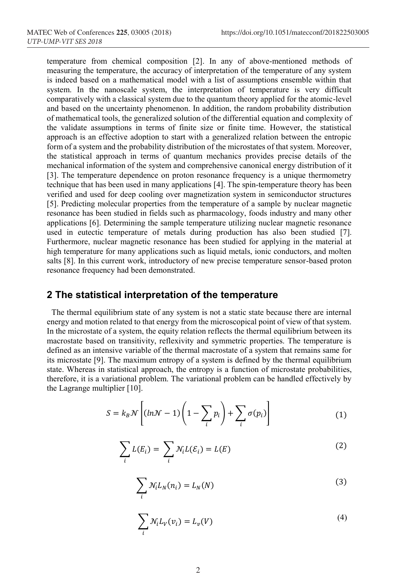temperature from chemical composition [2]. In any of above-mentioned methods of measuring the temperature, the accuracy of interpretation of the temperature of any system is indeed based on a mathematical model with a list of assumptions ensemble within that system. In the nanoscale system, the interpretation of temperature is very difficult comparatively with a classical system due to the quantum theory applied for the atomic-level and based on the uncertainty phenomenon. In addition, the random probability distribution of mathematical tools, the generalized solution of the differential equation and complexity of the validate assumptions in terms of finite size or finite time. However, the statistical approach is an effective adoption to start with a generalized relation between the entropic form of a system and the probability distribution of the microstates of that system. Moreover, the statistical approach in terms of quantum mechanics provides precise details of the mechanical information of the system and comprehensive canonical energy distribution of it [3]. The temperature dependence on proton resonance frequency is a unique thermometry technique that has been used in many applications [4]. The spin-temperature theory has been verified and used for deep cooling over magnetization system in semiconductor structures [5]. Predicting molecular properties from the temperature of a sample by nuclear magnetic resonance has been studied in fields such as pharmacology, foods industry and many other applications [6]. Determining the sample temperature utilizing nuclear magnetic resonance used in eutectic temperature of metals during production has also been studied [7]. Furthermore, nuclear magnetic resonance has been studied for applying in the material at high temperature for many applications such as liquid metals, ionic conductors, and molten salts [8]. In this current work, introductory of new precise temperature sensor-based proton resonance frequency had been demonstrated.

### **2 The statistical interpretation of the temperature**

The thermal equilibrium state of any system is not a static state because there are internal energy and motion related to that energy from the microscopical point of view of that system. In the microstate of a system, the equity relation reflects the thermal equilibrium between its macrostate based on transitivity, reflexivity and symmetric properties. The temperature is defined as an intensive variable of the thermal macrostate of a system that remains same for its microstate [9]. The maximum entropy of a system is defined by the thermal equilibrium state. Whereas in statistical approach, the entropy is a function of microstate probabilities, therefore, it is a variational problem. The variational problem can be handled effectively by the Lagrange multiplier [10].

$$
S = k_B \mathcal{N} \left[ (\ln \mathcal{N} - 1) \left( 1 - \sum_i p_i \right) + \sum_i \sigma(p_i) \right] \tag{1}
$$

$$
\sum_{i} L(E_i) = \sum_{i} \mathcal{N}_i L(\mathcal{E}_i) = L(E)
$$
 (2)

$$
\sum_{i} \mathcal{N}_{i} L_{N}(n_{i}) = L_{N}(N)
$$
\n(3)

$$
\sum_{i} \mathcal{N}_{i} L_{V}(v_{i}) = L_{v}(V)
$$
\n(4)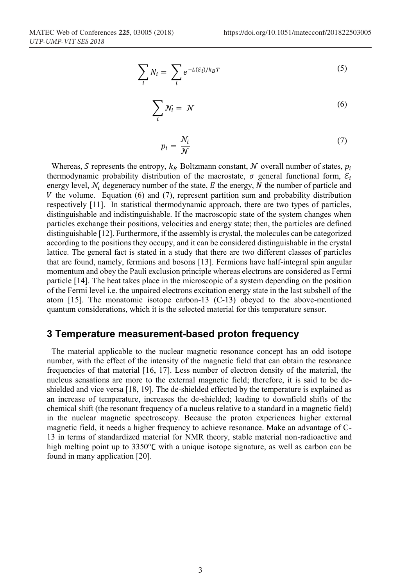$$
\sum_{i} N_{i} = \sum_{i} e^{-L(\mathcal{E}_{i})/k_{B}T}
$$
\n(5)

$$
\sum_{i} \mathcal{N}_i = \mathcal{N} \tag{6}
$$

$$
p_i = \frac{\mathcal{N}_i}{\mathcal{N}} \tag{7}
$$

Whereas, S represents the entropy,  $k_B$  Boltzmann constant, N overall number of states,  $p_i$ thermodynamic probability distribution of the macrostate,  $\sigma$  general functional form,  $\mathcal{E}_i$ energy level,  $N_i$  degeneracy number of the state,  $E$  the energy,  $N$  the number of particle and  $V$  the volume. Equation (6) and (7), represent partition sum and probability distribution respectively [11]. In statistical thermodynamic approach, there are two types of particles, distinguishable and indistinguishable. If the macroscopic state of the system changes when particles exchange their positions, velocities and energy state; then, the particles are defined distinguishable [12]. Furthermore, if the assembly is crystal, the molecules can be categorized according to the positions they occupy, and it can be considered distinguishable in the crystal lattice. The general fact is stated in a study that there are two different classes of particles that are found, namely, fermions and bosons [13]. Fermions have half-integral spin angular momentum and obey the Pauli exclusion principle whereas electrons are considered as Fermi particle [14]. The heat takes place in the microscopic of a system depending on the position of the Fermi level i.e. the unpaired electrons excitation energy state in the last subshell of the atom [15]. The monatomic isotope carbon-13 (C-13) obeyed to the above-mentioned quantum considerations, which it is the selected material for this temperature sensor.

### **3 Temperature measurement-based proton frequency**

The material applicable to the nuclear magnetic resonance concept has an odd isotope number, with the effect of the intensity of the magnetic field that can obtain the resonance frequencies of that material [16, 17]. Less number of electron density of the material, the nucleus sensations are more to the external magnetic field; therefore, it is said to be deshielded and vice versa [18, 19]. The de-shielded effected by the temperature is explained as an increase of temperature, increases the de-shielded; leading to downfield shifts of the chemical shift (the resonant frequency of a nucleus relative to a standard in a magnetic field) in the nuclear magnetic spectroscopy. Because the proton experiences higher external magnetic field, it needs a higher frequency to achieve resonance. Make an advantage of C-13 in terms of standardized material for NMR theory, stable material non-radioactive and high melting point up to  $3350^{\circ}$ C with a unique isotope signature, as well as carbon can be found in many application [20].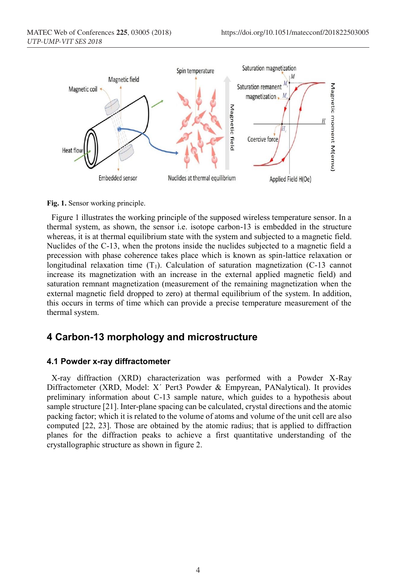

**Fig. 1.** Sensor working principle.

Figure 1 illustrates the working principle of the supposed wireless temperature sensor. In a thermal system, as shown, the sensor i.e. isotope carbon-13 is embedded in the structure whereas, it is at thermal equilibrium state with the system and subjected to a magnetic field. Nuclides of the C-13, when the protons inside the nuclides subjected to a magnetic field a precession with phase coherence takes place which is known as spin-lattice relaxation or longitudinal relaxation time  $(T_1)$ . Calculation of saturation magnetization (C-13 cannot increase its magnetization with an increase in the external applied magnetic field) and saturation remnant magnetization (measurement of the remaining magnetization when the external magnetic field dropped to zero) at thermal equilibrium of the system. In addition, this occurs in terms of time which can provide a precise temperature measurement of the thermal system.

## **4 Carbon-13 morphology and microstructure**

#### **4.1 Powder x-ray diffractometer**

X-ray diffraction (XRD) characterization was performed with a Powder X-Ray Diffractometer (XRD, Model: X´ Pert3 Powder & Empyrean, PANalytical). It provides preliminary information about C-13 sample nature, which guides to a hypothesis about sample structure [21]. Inter-plane spacing can be calculated, crystal directions and the atomic packing factor; which it is related to the volume of atoms and volume of the unit cell are also computed [22, 23]. Those are obtained by the atomic radius; that is applied to diffraction planes for the diffraction peaks to achieve a first quantitative understanding of the crystallographic structure as shown in figure 2.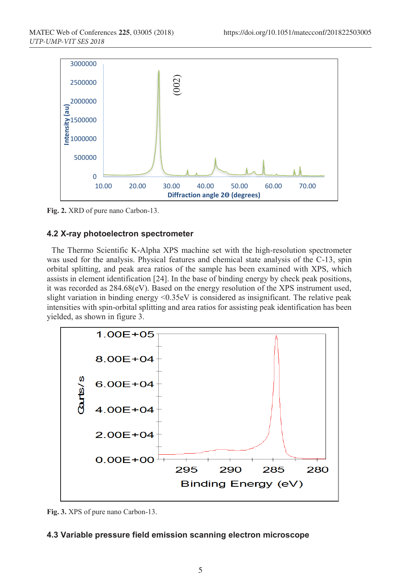

**Fig. 2.** XRD of pure nano Carbon-13.

### **4.2 X-ray photoelectron spectrometer**

The Thermo Scientific K-Alpha XPS machine set with the high-resolution spectrometer was used for the analysis. Physical features and chemical state analysis of the C-13, spin orbital splitting, and peak area ratios of the sample has been examined with XPS, which assists in element identification [24]. In the base of binding energy by check peak positions, it was recorded as 284.68(eV). Based on the energy resolution of the XPS instrument used, slight variation in binding energy <0.35eV is considered as insignificant. The relative peak intensities with spin-orbital splitting and area ratios for assisting peak identification has been yielded, as shown in figure 3.



**Fig. 3.** XPS of pure nano Carbon-13.

### **4.3 Variable pressure field emission scanning electron microscope**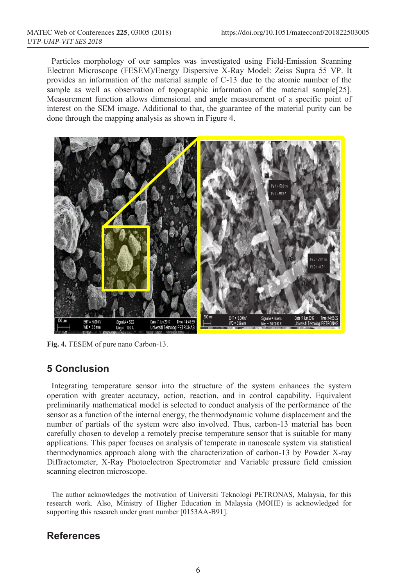Particles morphology of our samples was investigated using Field-Emission Scanning Electron Microscope (FESEM)/Energy Dispersive X-Ray Model: Zeiss Supra 55 VP. It provides an information of the material sample of C-13 due to the atomic number of the sample as well as observation of topographic information of the material sample[25]. Measurement function allows dimensional and angle measurement of a specific point of interest on the SEM image. Additional to that, the guarantee of the material purity can be done through the mapping analysis as shown in Figure 4.



**Fig. 4.** FESEM of pure nano Carbon-13.

# **5 Conclusion**

Integrating temperature sensor into the structure of the system enhances the system operation with greater accuracy, action, reaction, and in control capability. Equivalent preliminarily mathematical model is selected to conduct analysis of the performance of the sensor as a function of the internal energy, the thermodynamic volume displacement and the number of partials of the system were also involved. Thus, carbon-13 material has been carefully chosen to develop a remotely precise temperature sensor that is suitable for many applications. This paper focuses on analysis of temperate in nanoscale system via statistical thermodynamics approach along with the characterization of carbon-13 by Powder X-ray Diffractometer, X-Ray Photoelectron Spectrometer and Variable pressure field emission scanning electron microscope.

The author acknowledges the motivation of Universiti Teknologi PETRONAS, Malaysia, for this research work. Also, Ministry of Higher Education in Malaysia (MOHE) is acknowledged for supporting this research under grant number [0153AA-B91].

# **References**